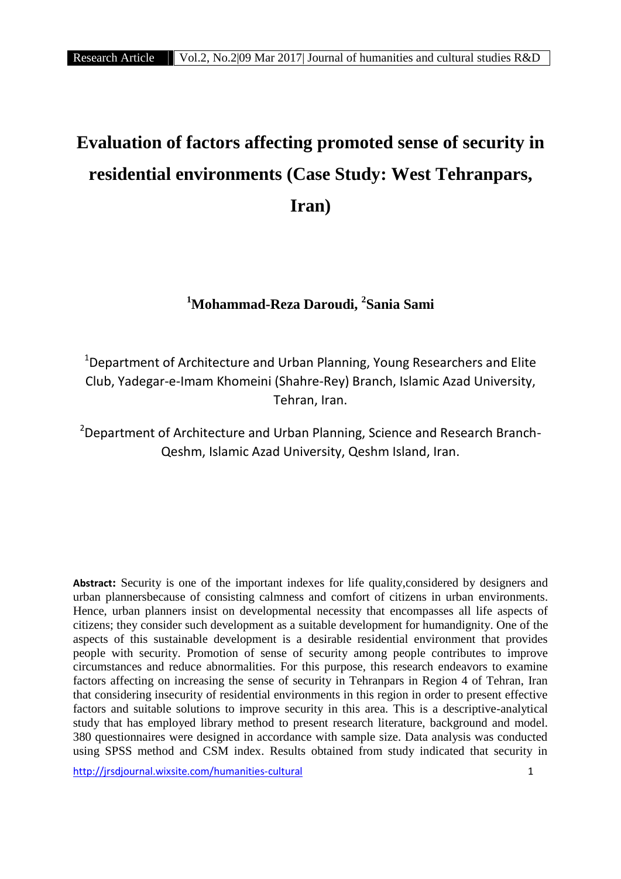# **Evaluation of factors affecting promoted sense of security in residential environments (Case Study: West Tehranpars, Iran)**

## **<sup>1</sup>Mohammad-Reza Daroudi, <sup>2</sup>Sania Sami**

 $1$ Department of Architecture and Urban Planning, Young Researchers and Elite Club, Yadegar-e-Imam Khomeini (Shahre-Rey) Branch, Islamic Azad University, Tehran, Iran.

<sup>2</sup>Department of Architecture and Urban Planning, Science and Research Branch-Qeshm, Islamic Azad University, Qeshm Island, Iran.

**Abstract:** Security is one of the important indexes for life quality,considered by designers and urban plannersbecause of consisting calmness and comfort of citizens in urban environments. Hence, urban planners insist on developmental necessity that encompasses all life aspects of citizens; they consider such development as a suitable development for humandignity. One of the aspects of this sustainable development is a desirable residential environment that provides people with security. Promotion of sense of security among people contributes to improve circumstances and reduce abnormalities. For this purpose, this research endeavors to examine factors affecting on increasing the sense of security in Tehranpars in Region 4 of Tehran, Iran that considering insecurity of residential environments in this region in order to present effective factors and suitable solutions to improve security in this area. This is a descriptive-analytical study that has employed library method to present research literature, background and model. 380 questionnaires were designed in accordance with sample size. Data analysis was conducted using SPSS method and CSM index. Results obtained from study indicated that security in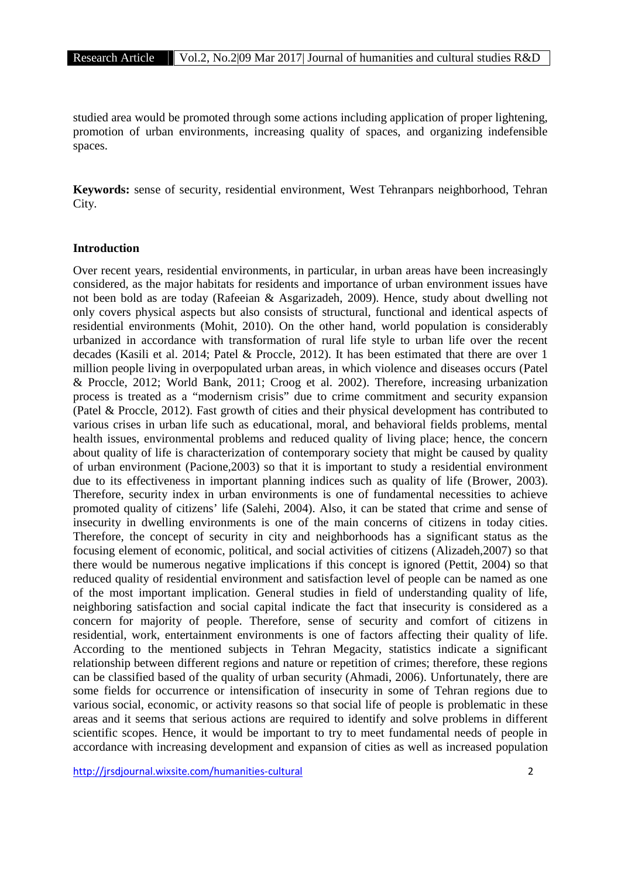studied area would be promoted through some actions including application of proper lightening, promotion of urban environments, increasing quality of spaces, and organizing indefensible spaces.

**Keywords:** sense of security, residential environment, West Tehranpars neighborhood, Tehran City.

#### **Introduction**

Over recent years, residential environments, in particular, in urban areas have been increasingly considered, as the major habitats for residents and importance of urban environment issues have not been bold as are today (Rafeeian & Asgarizadeh, 2009). Hence, study about dwelling not only covers physical aspects but also consists of structural, functional and identical aspects of residential environments (Mohit, 2010). On the other hand, world population is considerably urbanized in accordance with transformation of rural life style to urban life over the recent decades (Kasili et al. 2014; Patel & Proccle, 2012). It has been estimated that there are over 1 million people living in overpopulated urban areas, in which violence and diseases occurs (Patel & Proccle, 2012; World Bank, 2011; Croog et al. 2002). Therefore, increasing urbanization process is treated as a "modernism crisis" due to crime commitment and security expansion (Patel & Proccle, 2012). Fast growth of cities and their physical development has contributed to various crises in urban life such as educational, moral, and behavioral fields problems, mental health issues, environmental problems and reduced quality of living place; hence, the concern about quality of life is characterization of contemporary society that might be caused by quality of urban environment (Pacione,2003) so that it is important to study a residential environment due to its effectiveness in important planning indices such as quality of life (Brower, 2003). Therefore, security index in urban environments is one of fundamental necessities to achieve promoted quality of citizens' life (Salehi, 2004). Also, it can be stated that crime and sense of insecurity in dwelling environments is one of the main concerns of citizens in today cities. Therefore, the concept of security in city and neighborhoods has a significant status as the focusing element of economic, political, and social activities of citizens (Alizadeh,2007) so that there would be numerous negative implications if this concept is ignored (Pettit, 2004) so that reduced quality of residential environment and satisfaction level of people can be named as one of the most important implication. General studies in field of understanding quality of life, neighboring satisfaction and social capital indicate the fact that insecurity is considered as a concern for majority of people. Therefore, sense of security and comfort of citizens in residential, work, entertainment environments is one of factors affecting their quality of life. According to the mentioned subjects in Tehran Megacity, statistics indicate a significant relationship between different regions and nature or repetition of crimes; therefore, these regions can be classified based of the quality of urban security (Ahmadi, 2006). Unfortunately, there are some fields for occurrence or intensification of insecurity in some of Tehran regions due to various social, economic, or activity reasons so that social life of people is problematic in these areas and it seems that serious actions are required to identify and solve problems in different scientific scopes. Hence, it would be important to try to meet fundamental needs of people in accordance with increasing development and expansion of cities as well as increased population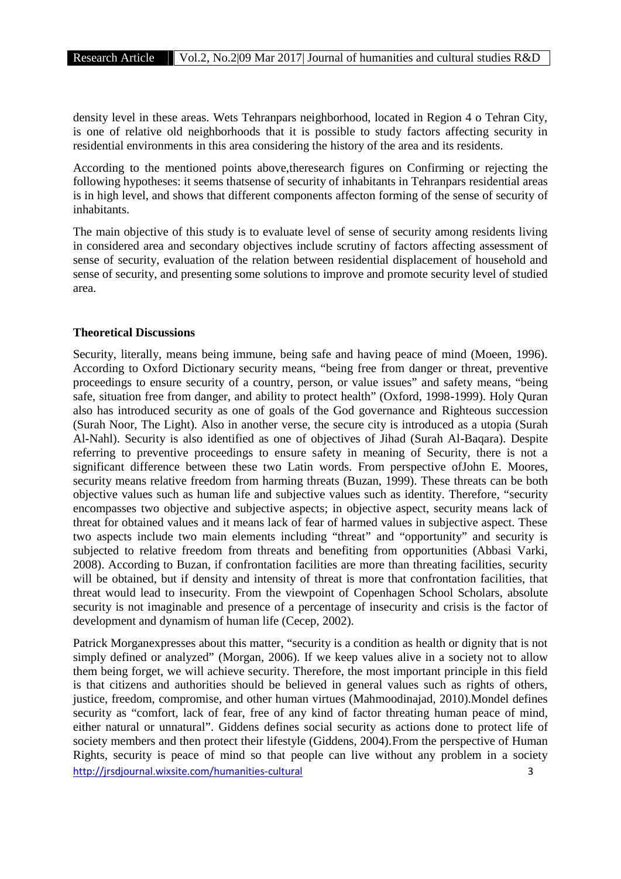density level in these areas. Wets Tehranpars neighborhood, located in Region 4 o Tehran City, is one of relative old neighborhoods that it is possible to study factors affecting security in residential environments in this area considering the history of the area and its residents.

According to the mentioned points above,theresearch figures on Confirming or rejecting the following hypotheses: it seems thatsense of security of inhabitants in Tehranpars residential areas is in high level, and shows that different components affecton forming of the sense of security of inhabitants.

The main objective of this study is to evaluate level of sense of security among residents living in considered area and secondary objectives include scrutiny of factors affecting assessment of sense of security, evaluation of the relation between residential displacement of household and sense of security, and presenting some solutions to improve and promote security level of studied area.

### **Theoretical Discussions**

Security, literally, means being immune, being safe and having peace of mind (Moeen, 1996). According to Oxford Dictionary security means, "being free from danger or threat, preventive proceedings to ensure security of a country, person, or value issues" and safety means, "being safe, situation free from danger, and ability to protect health" (Oxford, 1998-1999). Holy Quran also has introduced security as one of goals of the God governance and Righteous succession (Surah Noor, The Light). Also in another verse, the secure city is introduced as a utopia (Surah Al-Nahl). Security is also identified as one of objectives of Jihad (Surah Al-Baqara). Despite referring to preventive proceedings to ensure safety in meaning of Security, there is not a significant difference between these two Latin words. From perspective ofJohn E. Moores, security means relative freedom from harming threats (Buzan, 1999). These threats can be both objective values such as human life and subjective values such as identity. Therefore, "security encompasses two objective and subjective aspects; in objective aspect, security means lack of threat for obtained values and it means lack of fear of harmed values in subjective aspect. These two aspects include two main elements including "threat" and "opportunity" and security is subjected to relative freedom from threats and benefiting from opportunities (Abbasi Varki, 2008). According to Buzan, if confrontation facilities are more than threating facilities, security will be obtained, but if density and intensity of threat is more that confrontation facilities, that threat would lead to insecurity. From the viewpoint of Copenhagen School Scholars, absolute security is not imaginable and presence of a percentage of insecurity and crisis is the factor of development and dynamism of human life (Cecep, 2002).

http://jrsdjournal.wixsite.com/humanities-cultural 3 Patrick Morganexpresses about this matter, "security is a condition as health or dignity that is not simply defined or analyzed" (Morgan, 2006). If we keep values alive in a society not to allow them being forget, we will achieve security. Therefore, the most important principle in this field is that citizens and authorities should be believed in general values such as rights of others, justice, freedom, compromise, and other human virtues (Mahmoodinajad, 2010).Mondel defines security as "comfort, lack of fear, free of any kind of factor threating human peace of mind, either natural or unnatural". Giddens defines social security as actions done to protect life of society members and then protect their lifestyle (Giddens, 2004).From the perspective of Human Rights, security is peace of mind so that people can live without any problem in a society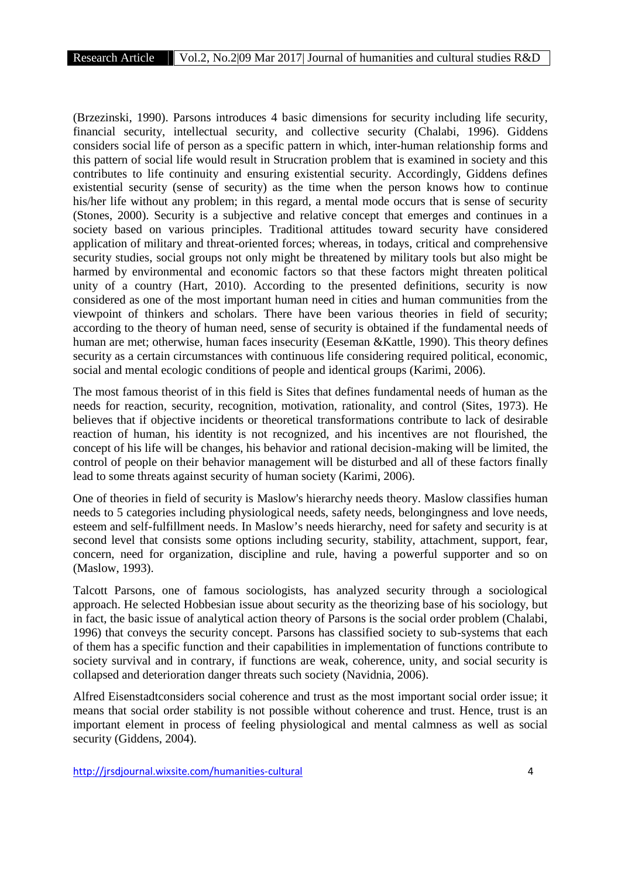(Brzezinski, 1990). Parsons introduces 4 basic dimensions for security including life security, financial security, intellectual security, and collective security (Chalabi, 1996). Giddens considers social life of person as a specific pattern in which, inter-human relationship forms and this pattern of social life would result in Strucration problem that is examined in society and this contributes to life continuity and ensuring existential security. Accordingly, Giddens defines existential security (sense of security) as the time when the person knows how to continue his/her life without any problem; in this regard, a mental mode occurs that is sense of security (Stones, 2000). Security is a subjective and relative concept that emerges and continues in a society based on various principles. Traditional attitudes toward security have considered application of military and threat-oriented forces; whereas, in todays, critical and comprehensive security studies, social groups not only might be threatened by military tools but also might be harmed by environmental and economic factors so that these factors might threaten political unity of a country (Hart, 2010). According to the presented definitions, security is now considered as one of the most important human need in cities and human communities from the viewpoint of thinkers and scholars. There have been various theories in field of security; according to the theory of human need, sense of security is obtained if the fundamental needs of human are met; otherwise, human faces insecurity (Eeseman &Kattle, 1990). This theory defines security as a certain circumstances with continuous life considering required political, economic, social and mental ecologic conditions of people and identical groups (Karimi, 2006).

The most famous theorist of in this field is Sites that defines fundamental needs of human as the needs for reaction, security, recognition, motivation, rationality, and control (Sites, 1973). He believes that if objective incidents or theoretical transformations contribute to lack of desirable reaction of human, his identity is not recognized, and his incentives are not flourished, the concept of his life will be changes, his behavior and rational decision-making will be limited, the control of people on their behavior management will be disturbed and all of these factors finally lead to some threats against security of human society (Karimi, 2006).

One of theories in field of security is Maslow's hierarchy needs theory. Maslow classifies human needs to 5 categories including physiological needs, safety needs, belongingness and love needs, esteem and self-fulfillment needs. In Maslow's needs hierarchy, need for safety and security is at second level that consists some options including security, stability, attachment, support, fear, concern, need for organization, discipline and rule, having a powerful supporter and so on (Maslow, 1993).

Talcott Parsons, one of famous sociologists, has analyzed security through a sociological approach. He selected Hobbesian issue about security as the theorizing base of his sociology, but in fact, the basic issue of analytical action theory of Parsons is the social order problem (Chalabi, 1996) that conveys the security concept. Parsons has classified society to sub-systems that each of them has a specific function and their capabilities in implementation of functions contribute to society survival and in contrary, if functions are weak, coherence, unity, and social security is collapsed and deterioration danger threats such society (Navidnia, 2006).

Alfred Eisenstadtconsiders social coherence and trust as the most important social order issue; it means that social order stability is not possible without coherence and trust. Hence, trust is an important element in process of feeling physiological and mental calmness as well as social security (Giddens, 2004).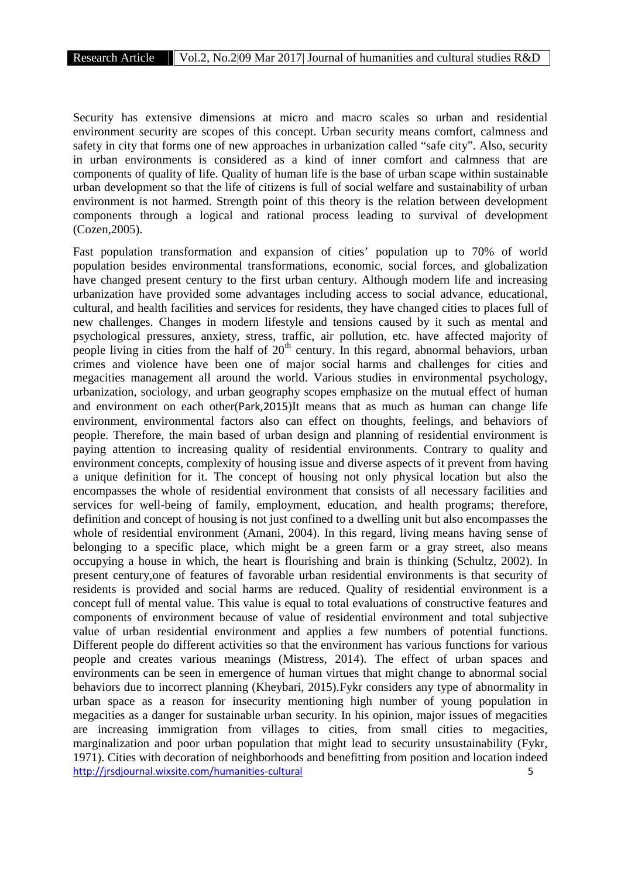Security has extensive dimensions at micro and macro scales so urban and residential environment security are scopes of this concept. Urban security means comfort, calmness and safety in city that forms one of new approaches in urbanization called "safe city". Also, security in urban environments is considered as a kind of inner comfort and calmness that are components of quality of life. Quality of human life is the base of urban scape within sustainable urban development so that the life of citizens is full of social welfare and sustainability of urban environment is not harmed. Strength point of this theory is the relation between development components through a logical and rational process leading to survival of development (Cozen,2005).

http://jrsdjournal.wixsite.com/humanities-cultural 5 Fast population transformation and expansion of cities' population up to 70% of world population besides environmental transformations, economic, social forces, and globalization have changed present century to the first urban century. Although modern life and increasing urbanization have provided some advantages including access to social advance, educational, cultural, and health facilities and services for residents, they have changed cities to places full of new challenges. Changes in modern lifestyle and tensions caused by it such as mental and psychological pressures, anxiety, stress, traffic, air pollution, etc. have affected majority of people living in cities from the half of  $20<sup>th</sup>$  century. In this regard, abnormal behaviors, urban crimes and violence have been one of major social harms and challenges for cities and megacities management all around the world. Various studies in environmental psychology, urbanization, sociology, and urban geography scopes emphasize on the mutual effect of human and environment on each other(Park,2015)It means that as much as human can change life environment, environmental factors also can effect on thoughts, feelings, and behaviors of people. Therefore, the main based of urban design and planning of residential environment is paying attention to increasing quality of residential environments. Contrary to quality and environment concepts, complexity of housing issue and diverse aspects of it prevent from having a unique definition for it. The concept of housing not only physical location but also the encompasses the whole of residential environment that consists of all necessary facilities and services for well-being of family, employment, education, and health programs; therefore, definition and concept of housing is not just confined to a dwelling unit but also encompasses the whole of residential environment (Amani, 2004). In this regard, living means having sense of belonging to a specific place, which might be a green farm or a gray street, also means occupying a house in which, the heart is flourishing and brain is thinking (Schultz, 2002). In present century,one of features of favorable urban residential environments is that security of residents is provided and social harms are reduced. Quality of residential environment is a concept full of mental value. This value is equal to total evaluations of constructive features and components of environment because of value of residential environment and total subjective value of urban residential environment and applies a few numbers of potential functions. Different people do different activities so that the environment has various functions for various people and creates various meanings (Mistress, 2014). The effect of urban spaces and environments can be seen in emergence of human virtues that might change to abnormal social behaviors due to incorrect planning (Kheybari, 2015).Fykr considers any type of abnormality in urban space as a reason for insecurity mentioning high number of young population in megacities as a danger for sustainable urban security. In his opinion, major issues of megacities are increasing immigration from villages to cities, from small cities to megacities, marginalization and poor urban population that might lead to security unsustainability (Fykr, 1971). Cities with decoration of neighborhoods and benefitting from position and location indeed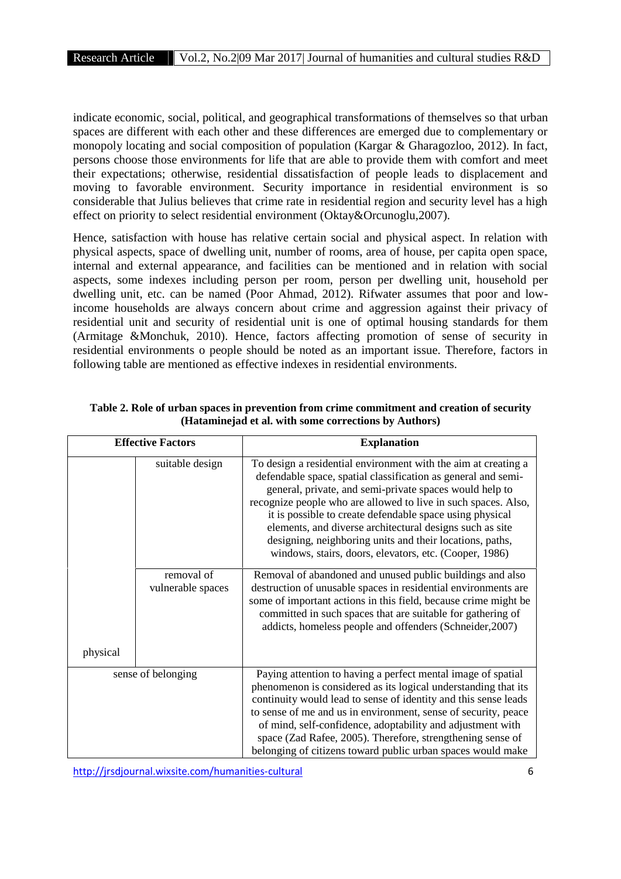indicate economic, social, political, and geographical transformations of themselves so that urban spaces are different with each other and these differences are emerged due to complementary or monopoly locating and social composition of population (Kargar & Gharagozloo, 2012). In fact, persons choose those environments for life that are able to provide them with comfort and meet their expectations; otherwise, residential dissatisfaction of people leads to displacement and moving to favorable environment. Security importance in residential environment is so considerable that Julius believes that crime rate in residential region and security level has a high effect on priority to select residential environment (Oktay&Orcunoglu,2007).

Hence, satisfaction with house has relative certain social and physical aspect. In relation with physical aspects, space of dwelling unit, number of rooms, area of house, per capita open space, internal and external appearance, and facilities can be mentioned and in relation with social aspects, some indexes including person per room, person per dwelling unit, household per dwelling unit, etc. can be named (Poor Ahmad, 2012). Rifwater assumes that poor and lowincome households are always concern about crime and aggression against their privacy of residential unit and security of residential unit is one of optimal housing standards for them (Armitage &Monchuk, 2010). Hence, factors affecting promotion of sense of security in residential environments o people should be noted as an important issue. Therefore, factors in following table are mentioned as effective indexes in residential environments.

| <b>Effective Factors</b>        | <b>Explanation</b>                                                                                                                                                                                                                                                                                                                                                                                                                                                                                         |  |
|---------------------------------|------------------------------------------------------------------------------------------------------------------------------------------------------------------------------------------------------------------------------------------------------------------------------------------------------------------------------------------------------------------------------------------------------------------------------------------------------------------------------------------------------------|--|
| suitable design                 | To design a residential environment with the aim at creating a<br>defendable space, spatial classification as general and semi-<br>general, private, and semi-private spaces would help to<br>recognize people who are allowed to live in such spaces. Also,<br>it is possible to create defendable space using physical<br>elements, and diverse architectural designs such as site<br>designing, neighboring units and their locations, paths,<br>windows, stairs, doors, elevators, etc. (Cooper, 1986) |  |
| removal of<br>vulnerable spaces | Removal of abandoned and unused public buildings and also<br>destruction of unusable spaces in residential environments are<br>some of important actions in this field, because crime might be<br>committed in such spaces that are suitable for gathering of<br>addicts, homeless people and offenders (Schneider, 2007)                                                                                                                                                                                  |  |
|                                 |                                                                                                                                                                                                                                                                                                                                                                                                                                                                                                            |  |
| sense of belonging              | Paying attention to having a perfect mental image of spatial<br>phenomenon is considered as its logical understanding that its<br>continuity would lead to sense of identity and this sense leads<br>to sense of me and us in environment, sense of security, peace<br>of mind, self-confidence, adoptability and adjustment with<br>space (Zad Rafee, 2005). Therefore, strengthening sense of<br>belonging of citizens toward public urban spaces would make                                             |  |
|                                 |                                                                                                                                                                                                                                                                                                                                                                                                                                                                                                            |  |

**Table 2. Role of urban spaces in prevention from crime commitment and creation of security (Hataminejad et al. with some corrections by Authors)**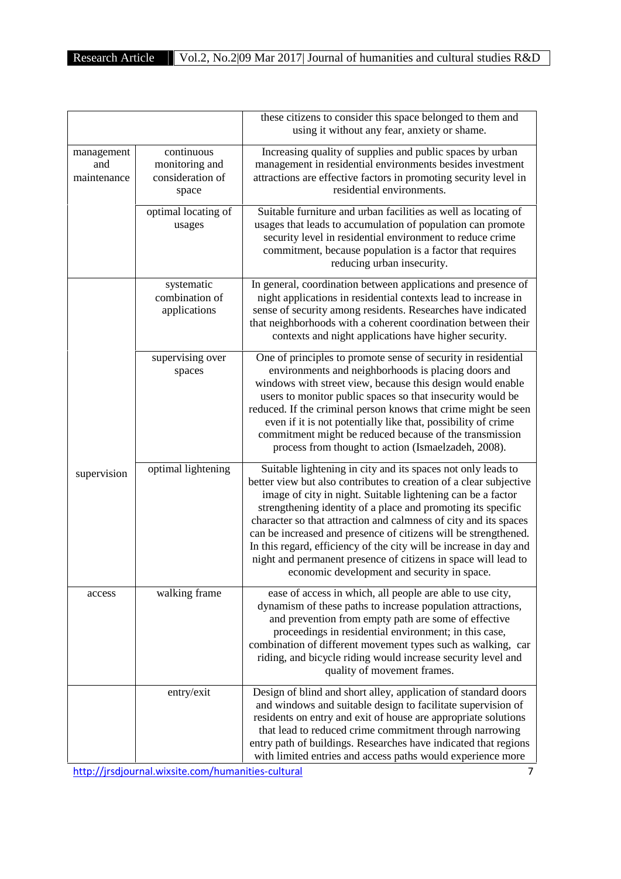|                                  |                                                           | these citizens to consider this space belonged to them and<br>using it without any fear, anxiety or shame.                                                                                                                                                                                                                                                                                                                                                                                                                                                                                      |
|----------------------------------|-----------------------------------------------------------|-------------------------------------------------------------------------------------------------------------------------------------------------------------------------------------------------------------------------------------------------------------------------------------------------------------------------------------------------------------------------------------------------------------------------------------------------------------------------------------------------------------------------------------------------------------------------------------------------|
| management<br>and<br>maintenance | continuous<br>monitoring and<br>consideration of<br>space | Increasing quality of supplies and public spaces by urban<br>management in residential environments besides investment<br>attractions are effective factors in promoting security level in<br>residential environments.                                                                                                                                                                                                                                                                                                                                                                         |
|                                  | optimal locating of<br>usages                             | Suitable furniture and urban facilities as well as locating of<br>usages that leads to accumulation of population can promote<br>security level in residential environment to reduce crime<br>commitment, because population is a factor that requires<br>reducing urban insecurity.                                                                                                                                                                                                                                                                                                            |
|                                  | systematic<br>combination of<br>applications              | In general, coordination between applications and presence of<br>night applications in residential contexts lead to increase in<br>sense of security among residents. Researches have indicated<br>that neighborhoods with a coherent coordination between their<br>contexts and night applications have higher security.                                                                                                                                                                                                                                                                       |
|                                  | supervising over<br>spaces                                | One of principles to promote sense of security in residential<br>environments and neighborhoods is placing doors and<br>windows with street view, because this design would enable<br>users to monitor public spaces so that insecurity would be<br>reduced. If the criminal person knows that crime might be seen<br>even if it is not potentially like that, possibility of crime<br>commitment might be reduced because of the transmission<br>process from thought to action (Ismaelzadeh, 2008).                                                                                           |
| supervision                      | optimal lightening                                        | Suitable lightening in city and its spaces not only leads to<br>better view but also contributes to creation of a clear subjective<br>image of city in night. Suitable lightening can be a factor<br>strengthening identity of a place and promoting its specific<br>character so that attraction and calmness of city and its spaces<br>can be increased and presence of citizens will be strengthened.<br>In this regard, efficiency of the city will be increase in day and<br>night and permanent presence of citizens in space will lead to<br>economic development and security in space. |
| access                           | walking frame                                             | ease of access in which, all people are able to use city,<br>dynamism of these paths to increase population attractions,<br>and prevention from empty path are some of effective<br>proceedings in residential environment; in this case,<br>combination of different movement types such as walking, car<br>riding, and bicycle riding would increase security level and<br>quality of movement frames.                                                                                                                                                                                        |
|                                  | entry/exit                                                | Design of blind and short alley, application of standard doors<br>and windows and suitable design to facilitate supervision of<br>residents on entry and exit of house are appropriate solutions<br>that lead to reduced crime commitment through narrowing<br>entry path of buildings. Researches have indicated that regions<br>with limited entries and access paths would experience more                                                                                                                                                                                                   |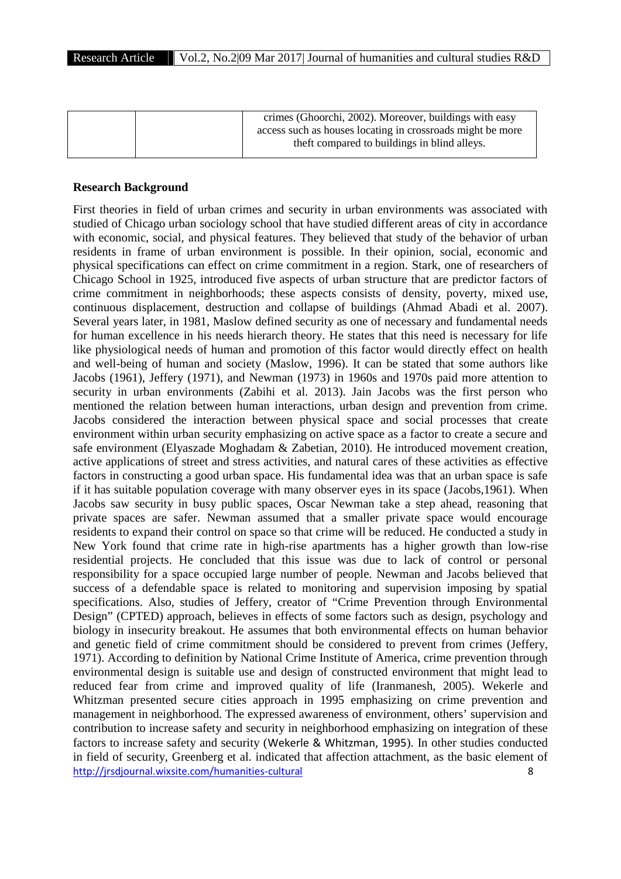|  | crimes (Ghoorchi, 2002). Moreover, buildings with easy     |  |
|--|------------------------------------------------------------|--|
|  | access such as houses locating in crossroads might be more |  |
|  | theft compared to buildings in blind alleys.               |  |
|  |                                                            |  |

## **Research Background**

http://jrsdjournal.wixsite.com/humanities-cultural 8 First theories in field of urban crimes and security in urban environments was associated with studied of Chicago urban sociology school that have studied different areas of city in accordance with economic, social, and physical features. They believed that study of the behavior of urban residents in frame of urban environment is possible. In their opinion, social, economic and physical specifications can effect on crime commitment in a region. Stark, one of researchers of Chicago School in 1925, introduced five aspects of urban structure that are predictor factors of crime commitment in neighborhoods; these aspects consists of density, poverty, mixed use, continuous displacement, destruction and collapse of buildings (Ahmad Abadi et al. 2007). Several years later, in 1981, Maslow defined security as one of necessary and fundamental needs for human excellence in his needs hierarch theory. He states that this need is necessary for life like physiological needs of human and promotion of this factor would directly effect on health and well-being of human and society (Maslow, 1996). It can be stated that some authors like Jacobs (1961), Jeffery (1971), and Newman (1973) in 1960s and 1970s paid more attention to security in urban environments (Zabihi et al. 2013). Jain Jacobs was the first person who mentioned the relation between human interactions, urban design and prevention from crime. Jacobs considered the interaction between physical space and social processes that create environment within urban security emphasizing on active space as a factor to create a secure and safe environment (Elyaszade Moghadam & Zabetian, 2010). He introduced movement creation, active applications of street and stress activities, and natural cares of these activities as effective factors in constructing a good urban space. His fundamental idea was that an urban space is safe if it has suitable population coverage with many observer eyes in its space (Jacobs,1961). When Jacobs saw security in busy public spaces, Oscar Newman take a step ahead, reasoning that private spaces are safer. Newman assumed that a smaller private space would encourage residents to expand their control on space so that crime will be reduced. He conducted a study in New York found that crime rate in high-rise apartments has a higher growth than low-rise residential projects. He concluded that this issue was due to lack of control or personal responsibility for a space occupied large number of people. Newman and Jacobs believed that success of a defendable space is related to monitoring and supervision imposing by spatial specifications. Also, studies of Jeffery, creator of "Crime Prevention through Environmental Design" (CPTED) approach, believes in effects of some factors such as design, psychology and biology in insecurity breakout. He assumes that both environmental effects on human behavior and genetic field of crime commitment should be considered to prevent from crimes (Jeffery, 1971). According to definition by National Crime Institute of America, crime prevention through environmental design is suitable use and design of constructed environment that might lead to reduced fear from crime and improved quality of life (Iranmanesh, 2005). Wekerle and Whitzman presented secure cities approach in 1995 emphasizing on crime prevention and management in neighborhood. The expressed awareness of environment, others' supervision and contribution to increase safety and security in neighborhood emphasizing on integration of these factors to increase safety and security (Wekerle & Whitzman, 1995). In other studies conducted in field of security, Greenberg et al. indicated that affection attachment, as the basic element of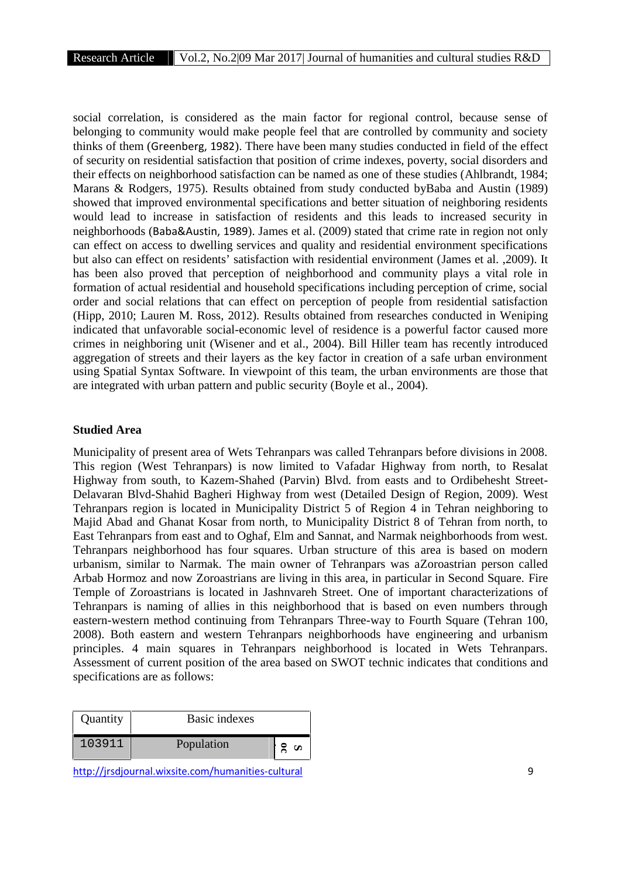social correlation, is considered as the main factor for regional control, because sense of belonging to community would make people feel that are controlled by community and society thinks of them (Greenberg, 1982). There have been many studies conducted in field of the effect of security on residential satisfaction that position of crime indexes, poverty, social disorders and their effects on neighborhood satisfaction can be named as one of these studies (Ahlbrandt, 1984; Marans & Rodgers, 1975). Results obtained from study conducted byBaba and Austin (1989) showed that improved environmental specifications and better situation of neighboring residents would lead to increase in satisfaction of residents and this leads to increased security in neighborhoods (Baba&Austin, 1989). James et al. (2009) stated that crime rate in region not only can effect on access to dwelling services and quality and residential environment specifications but also can effect on residents' satisfaction with residential environment (James et al. ,2009). It has been also proved that perception of neighborhood and community plays a vital role in formation of actual residential and household specifications including perception of crime, social order and social relations that can effect on perception of people from residential satisfaction (Hipp, 2010; Lauren M. Ross, 2012). Results obtained from researches conducted in Weniping indicated that unfavorable social-economic level of residence is a powerful factor caused more crimes in neighboring unit (Wisener and et al., 2004). Bill Hiller team has recently introduced aggregation of streets and their layers as the key factor in creation of a safe urban environment using Spatial Syntax Software. In viewpoint of this team, the urban environments are those that are integrated with urban pattern and public security (Boyle et al., 2004).

#### **Studied Area**

Municipality of present area of Wets Tehranpars was called Tehranpars before divisions in 2008. This region (West Tehranpars) is now limited to Vafadar Highway from north, to Resalat Highway from south, to Kazem-Shahed (Parvin) Blvd. from easts and to Ordibehesht Street- Delavaran Blvd-Shahid Bagheri Highway from west (Detailed Design of Region, 2009). West Tehranpars region is located in Municipality District 5 of Region 4 in Tehran neighboring to Majid Abad and Ghanat Kosar from north, to Municipality District 8 of Tehran from north, to East Tehranpars from east and to Oghaf, Elm and Sannat, and Narmak neighborhoods from west. Tehranpars neighborhood has four squares. Urban structure of this area is based on modern urbanism, similar to Narmak. The main owner of Tehranpars was aZoroastrian person called Arbab Hormoz and now Zoroastrians are living in this area, in particular in Second Square. Fire Temple of Zoroastrians is located in Jashnvareh Street. One of important characterizations of Tehranpars is naming of allies in this neighborhood that is based on even numbers through eastern-western method continuing from Tehranpars Three-way to Fourth Square (Tehran 100, 2008). Both eastern and western Tehranpars neighborhoods have engineering and urbanism principles. 4 main squares in Tehranpars neighborhood is located in Wets Tehranpars. Assessment of current position of the area based on SWOT technic indicates that conditions and specifications are as follows:

| Quantity | Basic indexes |                            |
|----------|---------------|----------------------------|
| 103911   | Population    | ຂ<br>$\boldsymbol{\omega}$ |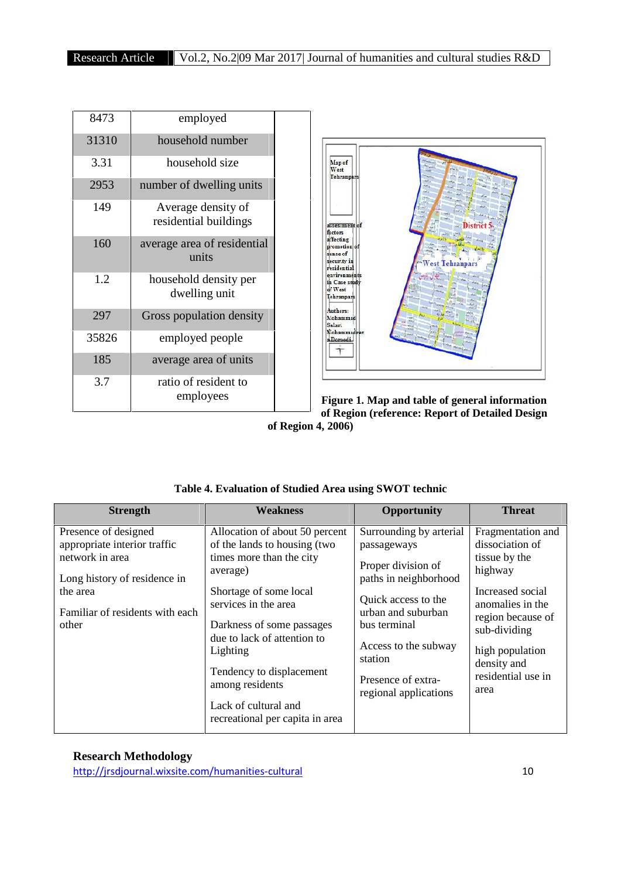| 8473  | employed                                    |
|-------|---------------------------------------------|
| 31310 | household number                            |
| 3.31  | household size                              |
| 2953  | number of dwelling units                    |
| 149   | Average density of<br>residential buildings |
| 160   | average area of residential<br>units        |
| 1.2   | household density per<br>dwelling unit      |
| 297   | Gross population density                    |
| 35826 | employed people                             |
| 185   | average area of units                       |
| 3.7   | ratio of resident to<br>employees           |



**Figure 1. Map and table of general information of Region (reference: Report of Detailed Design**

**of Region 4, 2006)**

| <b>Strength</b>                                                                                                                                                 | Weakness                                                                                                                                                                                                                                                     | Opportunity                                                                                                                                                                                                 | <b>Threat</b>                                                                                                                                                                                         |
|-----------------------------------------------------------------------------------------------------------------------------------------------------------------|--------------------------------------------------------------------------------------------------------------------------------------------------------------------------------------------------------------------------------------------------------------|-------------------------------------------------------------------------------------------------------------------------------------------------------------------------------------------------------------|-------------------------------------------------------------------------------------------------------------------------------------------------------------------------------------------------------|
| Presence of designed<br>appropriate interior traffic<br>network in area<br>Long history of residence in<br>the area<br>Familiar of residents with each<br>other | Allocation of about 50 percent<br>of the lands to housing (two<br>times more than the city<br>average)<br>Shortage of some local<br>services in the area<br>Darkness of some passages<br>due to lack of attention to<br>Lighting<br>Tendency to displacement | Surrounding by arterial<br>passageways<br>Proper division of<br>paths in neighborhood<br>Quick access to the<br>urban and suburban<br>bus terminal<br>Access to the subway<br>station<br>Presence of extra- | Fragmentation and<br>dissociation of<br>tissue by the<br>highway<br>Increased social<br>anomalies in the<br>region because of<br>sub-dividing<br>high population<br>density and<br>residential use in |
|                                                                                                                                                                 | among residents<br>Lack of cultural and<br>recreational per capita in area                                                                                                                                                                                   | regional applications                                                                                                                                                                                       | area                                                                                                                                                                                                  |

| Table 4. Evaluation of Studied Area using SWOT technic |  |
|--------------------------------------------------------|--|
|--------------------------------------------------------|--|

## **Research Methodology**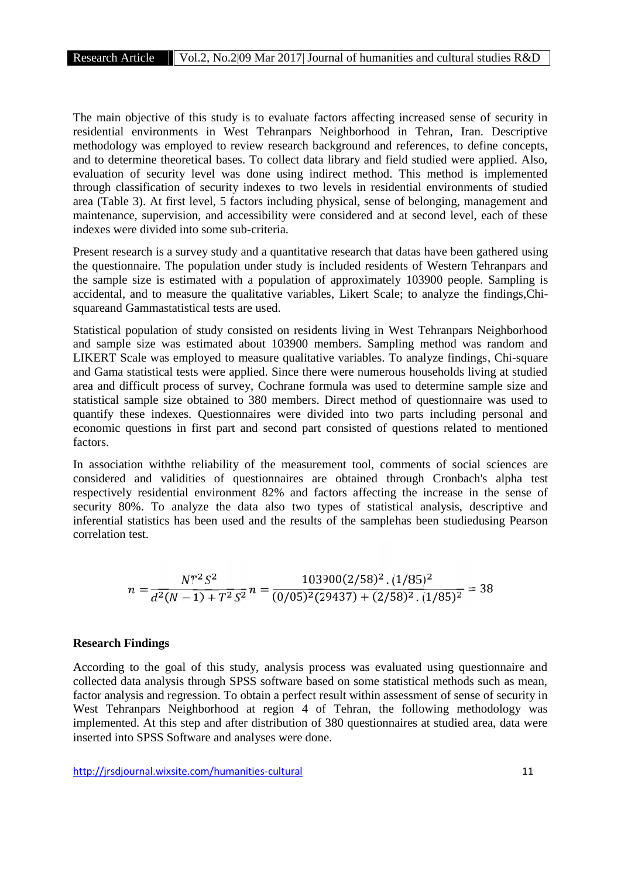The main objective of this study is to evaluate factors affecting increased sense of security in residential environments in West Tehranpars Neighborhood in Tehran, Iran. Descriptive methodology was employed to review research background and references, to define concepts, and to determine theoretical bases. To collect data library and field studied were applied. Also, evaluation of security level was done using indirect method. This method is implemented through classification of security indexes to two levels in residential environments of studied area (Table 3). At first level, 5 factors including physical, sense of belonging, management and maintenance, supervision, and accessibility were considered and at second level, each of these indexes were divided into some sub-criteria.

Present research is a survey study and a quantitative research that datas have been gathered using the questionnaire. The population under study is included residents of Western Tehranpars and the sample size is estimated with a population of approximately 103900 people. Sampling is accidental, and to measure the qualitative variables, Likert Scale; to analyze the findings,Chi squareand Gammastatistical tests are used.

Statistical population of study consisted on residents living in West Tehranpars Neighborhood and sample size was estimated about 103900 members. Sampling method was random and LIKERT Scale was employed to measure qualitative variables. To analyze findings, Chi-square and Gama statistical tests were applied. Since there were numerous households living at studied area and difficult process of survey, Cochrane formula was used to determine sample size and statistical sample size obtained to 380 members. Direct method of questionnaire was used to quantify these indexes. Questionnaires were divided into two parts including personal and economic questions in first part and second part consisted of questions related to mentioned factors.

In association withthe reliability of the measurement tool, comments of social sciences are considered and validities of questionnaires are obtained through Cronbach's alpha test respectively residential environment 82% and factors affecting the increase in the sense of security 80%. To analyze the data also two types of statistical analysis, descriptive and inferential statistics has been used and the results of the samplehas been studiedusing Pearson correlation test.

$$
n = \frac{NT^2S^2}{d^2(N-1) + T^2S^2}n = \frac{103900(2/58)^2 \cdot (1/85)^2}{(0/05)^2(29437) + (2/58)^2 \cdot (1/85)^2} = 38
$$

#### **Research Findings**

According to the goal of this study, analysis process was evaluated using questionnaire and collected data analysis through SPSS software based on some statistical methods such as mean, factor analysis and regression. To obtain a perfect result within assessment of sense of security in West Tehranpars Neighborhood at region 4 of Tehran, the following methodology was implemented. At this step and after distribution of 380 questionnaires at studied area, data were inserted into SPSS Software and analyses were done.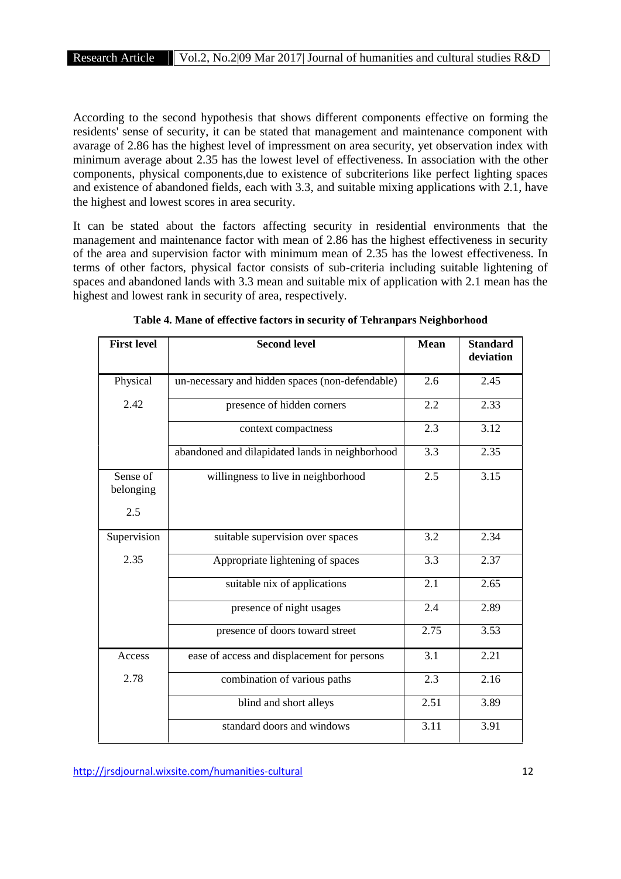According to the second hypothesis that shows different components effective on forming the residents' sense of security, it can be stated that management and maintenance component with avarage of 2.86 has the highest level of impressment on area security, yet observation index with minimum average about 2.35 has the lowest level of effectiveness. In association with the other components, physical components,due to existence of subcriterions like perfect lighting spaces and existence of abandoned fields, each with 3.3, and suitable mixing applications with 2.1, have the highest and lowest scores in area security.

It can be stated about the factors affecting security in residential environments that the management and maintenance factor with mean of 2.86 has the highest effectiveness in security of the area and supervision factor with minimum mean of 2.35 has the lowest effectiveness. In terms of other factors, physical factor consists of sub-criteria including suitable lightening of spaces and abandoned lands with 3.3 mean and suitable mix of application with 2.1 mean has the highest and lowest rank in security of area, respectively.

| <b>First level</b>    | <b>Second level</b>                             | <b>Mean</b> | <b>Standard</b><br>deviation |
|-----------------------|-------------------------------------------------|-------------|------------------------------|
| Physical              | un-necessary and hidden spaces (non-defendable) | 2.6         | 2.45                         |
| 2.42                  | presence of hidden corners                      | 2.2         | 2.33                         |
|                       | context compactness                             | 2.3         | 3.12                         |
|                       | abandoned and dilapidated lands in neighborhood | 3.3         | 2.35                         |
| Sense of<br>belonging | willingness to live in neighborhood             | 2.5         | 3.15                         |
| 2.5                   |                                                 |             |                              |
| Supervision           | suitable supervision over spaces                | 3.2         | 2.34                         |
| 2.35                  | Appropriate lightening of spaces                | 3.3         | 2.37                         |
|                       | suitable nix of applications                    | 2.1         | 2.65                         |
|                       | presence of night usages                        | 2.4         | 2.89                         |
|                       | presence of doors toward street                 | 2.75        | 3.53                         |
| Access                | ease of access and displacement for persons     | 3.1         | 2.21                         |
| 2.78                  | combination of various paths                    | 2.3         | 2.16                         |
|                       | blind and short alleys                          | 2.51        | 3.89                         |
|                       | standard doors and windows                      | 3.11        | 3.91                         |

**Table 4. Mane of effective factors in security of Tehranpars Neighborhood**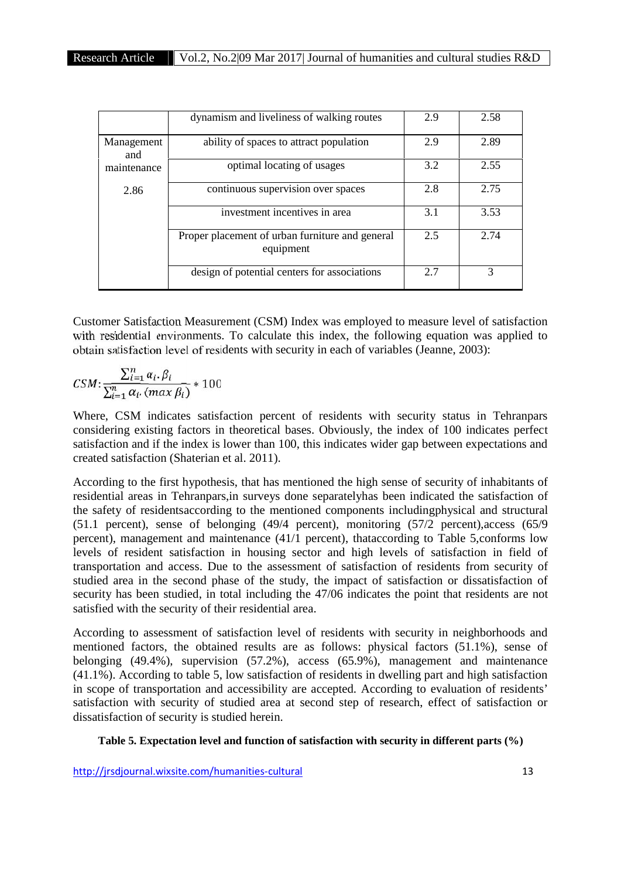|                   | dynamism and liveliness of walking routes                    | 2.9 | 2.58 |
|-------------------|--------------------------------------------------------------|-----|------|
| Management<br>and | ability of spaces to attract population                      | 2.9 | 2.89 |
| maintenance       | optimal locating of usages                                   | 3.2 | 2.55 |
| 2.86              | continuous supervision over spaces                           | 2.8 | 2.75 |
|                   | investment incentives in area                                | 3.1 | 3.53 |
|                   | Proper placement of urban furniture and general<br>equipment | 2.5 | 2.74 |
|                   | design of potential centers for associations                 | 2.7 | 3    |

Customer Satisfaction Measurement (CSM) Index was employed to measure level of satisfaction with residential environments. To calculate this index, the following equation was applied to obtain satisfaction level of residents with security in each of variables (Jeanne, 2003):

$$
CSM: \frac{\sum_{i=1}^{n} \alpha_i \cdot \beta_i}{\sum_{i=1}^{n} \alpha_i \cdot (max \beta_i)} * 100
$$

Where, CSM indicates satisfaction percent of residents with security status in Tehranpars considering existing factors in theoretical bases. Obviously, the index of 100 indicates perfect satisfaction and if the index is lower than 100, this indicates wider gap between expectations and created satisfaction (Shaterian et al. 2011).

According to the first hypothesis, that has mentioned the high sense of security of inhabitants of residential areas in Tehranpars,in surveys done separatelyhas been indicated the satisfaction of the safety of residentsaccording to the mentioned components includingphysical and structural (51.1 percent), sense of belonging (49/4 percent), monitoring (57/2 percent),access (65/9 percent), management and maintenance (41/1 percent), thataccording to Table 5,conforms low levels of resident satisfaction in housing sector and high levels of satisfaction in field of transportation and access. Due to the assessment of satisfaction of residents from security of studied area in the second phase of the study, the impact of satisfaction or dissatisfaction of security has been studied, in total including the 47/06 indicates the point that residents are not satisfied with the security of their residential area.

According to assessment of satisfaction level of residents with security in neighborhoods and mentioned factors, the obtained results are as follows: physical factors (51.1%), sense of belonging (49.4%), supervision (57.2%), access (65.9%), management and maintenance (41.1%). According to table 5, low satisfaction of residents in dwelling part and high satisfaction in scope of transportation and accessibility are accepted. According to evaluation of residents' satisfaction with security of studied area at second step of research, effect of satisfaction or dissatisfaction of security is studied herein.

## **Table 5. Expectation level and function of satisfaction with security in different parts (%)**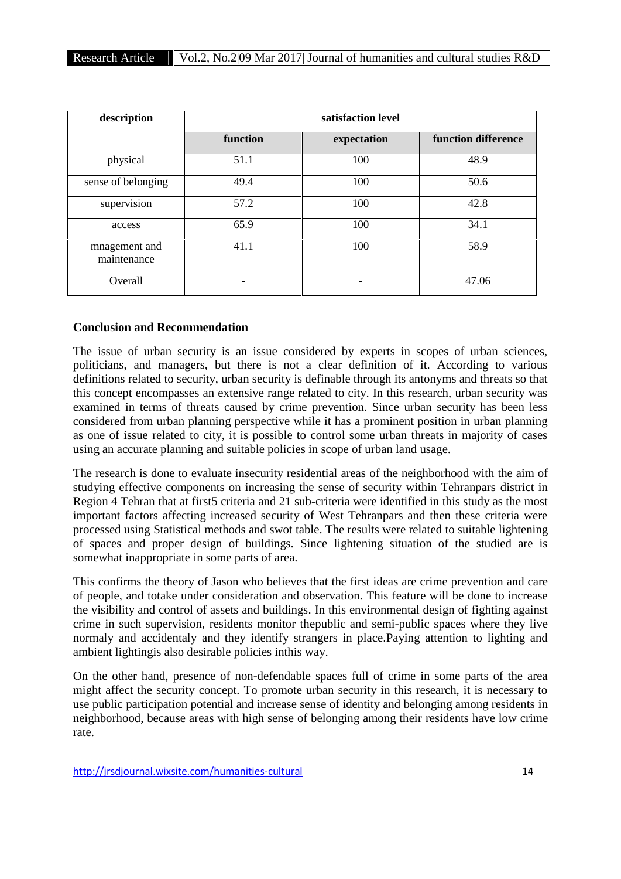| description                  | satisfaction level |             |                     |  |
|------------------------------|--------------------|-------------|---------------------|--|
|                              | function           | expectation | function difference |  |
| physical                     | 51.1               | 100         | 48.9                |  |
| sense of belonging           | 49.4               | 100         | 50.6                |  |
| supervision                  | 57.2               | 100         | 42.8                |  |
| access                       | 65.9               | 100         | 34.1                |  |
| mnagement and<br>maintenance | 41.1               | 100         | 58.9                |  |
| Overall                      |                    |             | 47.06               |  |

## **Conclusion and Recommendation**

The issue of urban security is an issue considered by experts in scopes of urban sciences, politicians, and managers, but there is not a clear definition of it. According to various definitions related to security, urban security is definable through its antonyms and threats so that this concept encompasses an extensive range related to city. In this research, urban security was examined in terms of threats caused by crime prevention. Since urban security has been less considered from urban planning perspective while it has a prominent position in urban planning as one of issue related to city, it is possible to control some urban threats in majority of cases using an accurate planning and suitable policies in scope of urban land usage.

The research is done to evaluate insecurity residential areas of the neighborhood with the aim of studying effective components on increasing the sense of security within Tehranpars district in Region 4 Tehran that at first5 criteria and 21 sub-criteria were identified in this study as the most important factors affecting increased security of West Tehranpars and then these criteria were processed using Statistical methods and swot table. The results were related to suitable lightening of spaces and proper design of buildings. Since lightening situation of the studied are is somewhat inappropriate in some parts of area.

This confirms the theory of Jason who believes that the first ideas are crime prevention and care of people, and totake under consideration and observation. This feature will be done to increase the visibility and control of assets and buildings. In this environmental design of fighting against crime in such supervision, residents monitor thepublic and semi-public spaces where they live normaly and accidentaly and they identify strangers in place.Paying attention to lighting and ambient lightingis also desirable policies inthis way.

On the other hand, presence of non-defendable spaces full of crime in some parts of the area might affect the security concept. To promote urban security in this research, it is necessary to use public participation potential and increase sense of identity and belonging among residents in neighborhood, because areas with high sense of belonging among their residents have low crime rate.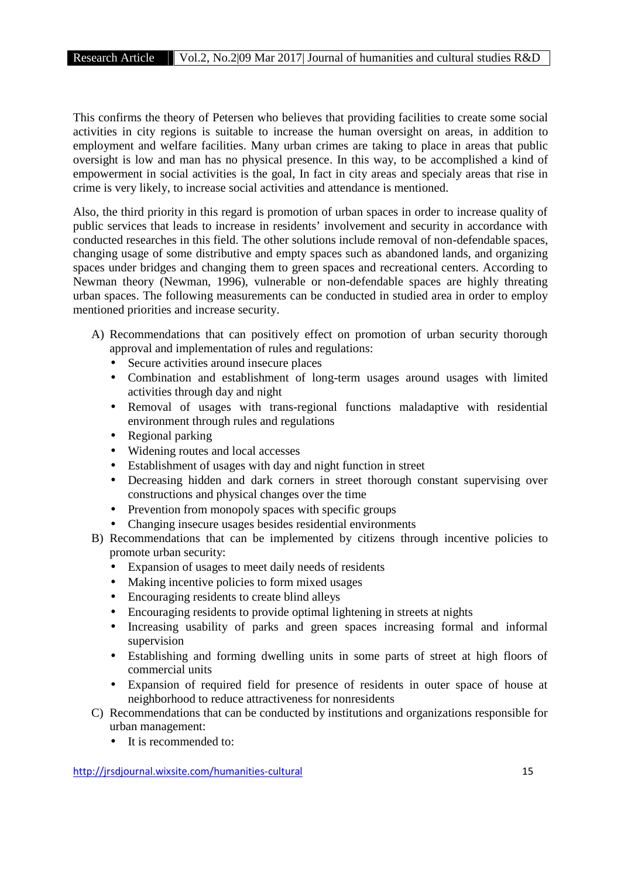This confirms the theory of Petersen who believes that providing facilities to create some social activities in city regions is suitable to increase the human oversight on areas, in addition to employment and welfare facilities. Many urban crimes are taking to place in areas that public oversight is low and man has no physical presence. In this way, to be accomplished a kind of empowerment in social activities is the goal, In fact in city areas and specialy areas that rise in crime is very likely, to increase social activities and attendance is mentioned.

Also, the third priority in this regard is promotion of urban spaces in order to increase quality of public services that leads to increase in residents' involvement and security in accordance with conducted researches in this field. The other solutions include removal of non-defendable spaces, changing usage of some distributive and empty spaces such as abandoned lands, and organizing spaces under bridges and changing them to green spaces and recreational centers. According to Newman theory (Newman, 1996), vulnerable or non-defendable spaces are highly threating urban spaces. The following measurements can be conducted in studied area in order to employ mentioned priorities and increase security.

- A) Recommendations that can positively effect on promotion of urban security thorough approval and implementation of rules and regulations:
	- Secure activities around insecure places
	- Combination and establishment of long-term usages around usages with limited activities through day and night
	- Removal of usages with trans-regional functions maladaptive with residential environment through rules and regulations
	- Regional parking
	- Widening routes and local accesses
	- Establishment of usages with day and night function in street
	- Decreasing hidden and dark corners in street thorough constant supervising over constructions and physical changes over the time
	- Prevention from monopoly spaces with specific groups
	- Changing insecure usages besides residential environments
- B) Recommendations that can be implemented by citizens through incentive policies to promote urban security:
	- Expansion of usages to meet daily needs of residents
	- Making incentive policies to form mixed usages
	- Encouraging residents to create blind alleys
	- Encouraging residents to provide optimal lightening in streets at nights
	- Increasing usability of parks and green spaces increasing formal and informal supervision
	- Establishing and forming dwelling units in some parts of street at high floors of commercial units
	- Expansion of required field for presence of residents in outer space of house at neighborhood to reduce attractiveness for nonresidents
- C) Recommendations that can be conducted by institutions and organizations responsible for urban management:
	- It is recommended to: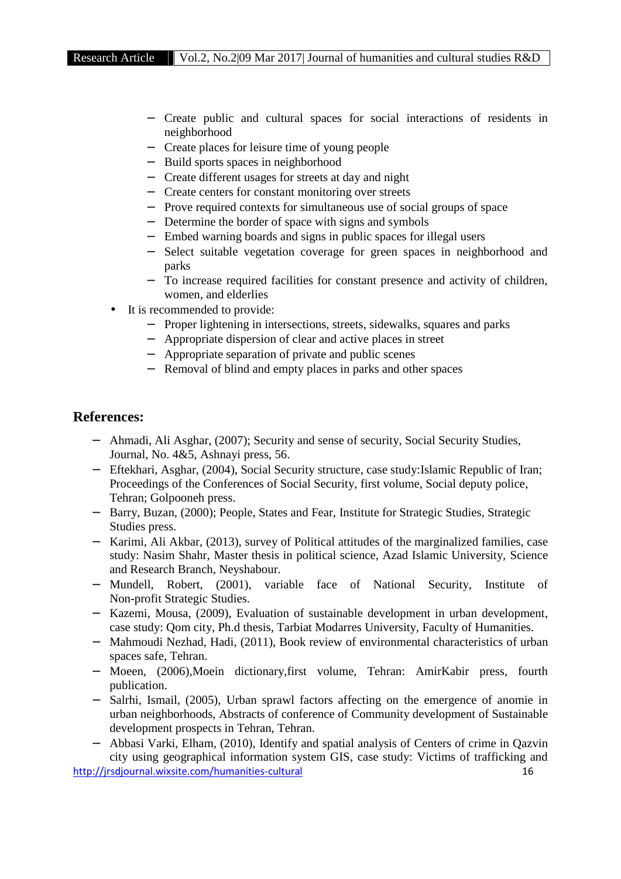- Create public and cultural spaces for social interactions of residents in neighborhood
- Create places for leisure time of young people
- Build sports spaces in neighborhood
- Create different usages for streets at day and night
- Create centers for constant monitoring over streets
- Prove required contexts for simultaneous use of social groups of space
- Determine the border of space with signs and symbols
- Embed warning boards and signs in public spaces for illegal users
- Select suitable vegetation coverage for green spaces in neighborhood and parks
- To increase required facilities for constant presence and activity of children, women, and elderlies
- It is recommended to provide:
	- Proper lightening in intersections, streets, sidewalks, squares and parks
	- Appropriate dispersion of clear and active places in street
	- Appropriate separation of private and public scenes
	- Removal of blind and empty places in parks and other spaces

## **References:**

- Ahmadi, Ali Asghar, (2007); Security and sense of security, Social Security Studies, Journal, No. 4&5, Ashnayi press, 56.
- Eftekhari, Asghar, (2004), Social Security structure, case study:Islamic Republic of Iran; Proceedings of the Conferences of Social Security, first volume, Social deputy police, Tehran; Golpooneh press.
- Barry, Buzan, (2000); People, States and Fear, Institute for Strategic Studies, Strategic Studies press.
- Karimi, Ali Akbar, (2013), survey of Political attitudes of the marginalized families, case study: Nasim Shahr, Master thesis in political science, Azad Islamic University, Science and Research Branch, Neyshabour.
- Mundell, Robert, (2001), variable face of National Security, Institute of Non-profit Strategic Studies.
- Kazemi, Mousa, (2009), Evaluation of sustainable development in urban development, case study: Qom city, Ph.d thesis, Tarbiat Modarres University, Faculty of Humanities.
- Mahmoudi Nezhad, Hadi, (2011), Book review of environmental characteristics of urban spaces safe, Tehran.
- Moeen, (2006), Moein dictionary, first volume, Tehran: AmirKabir press, fourth publication.
- Salrhi, Ismail, (2005), Urban sprawl factors affecting on the emergence of anomie in urban neighborhoods, Abstracts of conference of Community development of Sustainable development prospects in Tehran, Tehran.
- http://jrsdjournal.wixsite.com/humanities-cultural 16 Abbasi Varki, Elham, (2010), Identify and spatial analysis of Centers of crime in Qazvin city using geographical information system GIS, case study: Victims of trafficking and